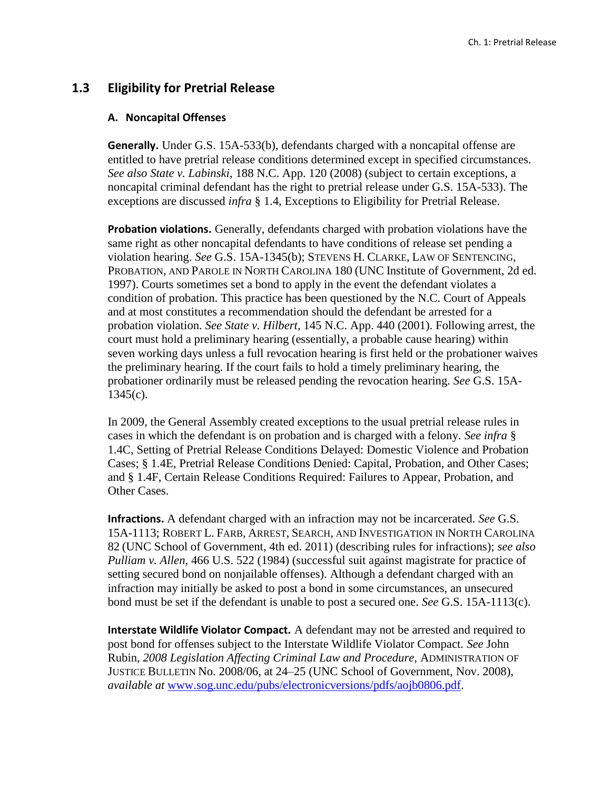## **1.3 Eligibility for Pretrial Release**

## **A. Noncapital Offenses**

**Generally.** Under G.S. 15A-533(b), defendants charged with a noncapital offense are entitled to have pretrial release conditions determined except in specified circumstances. *See also State v. Labinski*, 188 N.C. App. 120 (2008) (subject to certain exceptions, a noncapital criminal defendant has the right to pretrial release under G.S. 15A-533). The exceptions are discussed *infra* § 1.4, Exceptions to Eligibility for Pretrial Release.

**Probation violations.** Generally, defendants charged with probation violations have the same right as other noncapital defendants to have conditions of release set pending a violation hearing. *See* G.S. 15A-1345(b); STEVENS H. CLARKE, LAW OF SENTENCING, PROBATION, AND PAROLE IN NORTH CAROLINA 180 (UNC Institute of Government, 2d ed. 1997). Courts sometimes set a bond to apply in the event the defendant violates a condition of probation. This practice has been questioned by the N.C. Court of Appeals and at most constitutes a recommendation should the defendant be arrested for a probation violation. *See State v. Hilbert*, 145 N.C. App. 440 (2001). Following arrest, the court must hold a preliminary hearing (essentially, a probable cause hearing) within seven working days unless a full revocation hearing is first held or the probationer waives the preliminary hearing. If the court fails to hold a timely preliminary hearing, the probationer ordinarily must be released pending the revocation hearing. *See* G.S. 15A- $1345(c)$ .

In 2009, the General Assembly created exceptions to the usual pretrial release rules in cases in which the defendant is on probation and is charged with a felony. *See infra* § 1.4C, Setting of Pretrial Release Conditions Delayed: Domestic Violence and Probation Cases; § 1.4E, Pretrial Release Conditions Denied: Capital, Probation, and Other Cases; and § 1.4F, Certain Release Conditions Required: Failures to Appear, Probation, and Other Cases.

**Infractions.** A defendant charged with an infraction may not be incarcerated. *See* G.S. 15A-1113; ROBERT L. FARB, ARREST, SEARCH, AND INVESTIGATION IN NORTH CAROLINA 82 (UNC School of Government, 4th ed. 2011) (describing rules for infractions); *see also Pulliam v. Allen*, 466 U.S. 522 (1984) (successful suit against magistrate for practice of setting secured bond on nonjailable offenses). Although a defendant charged with an infraction may initially be asked to post a bond in some circumstances, an unsecured bond must be set if the defendant is unable to post a secured one. *See* G.S. 15A-1113(c).

**Interstate Wildlife Violator Compact.** A defendant may not be arrested and required to post bond for offenses subject to the Interstate Wildlife Violator Compact. *See* John Rubin, *2008 Legislation Affecting Criminal Law and Procedure,* ADMINISTRATION OF JUSTICE BULLETIN No. 2008/06, at 24–25 (UNC School of Government, Nov. 2008), *available at* [www.sog.unc.edu/pubs/electronicversions/pdfs/aojb0806.pdf.](http://www.sog.unc.edu/pubs/electronicversions/pdfs/aojb0806.pdf)